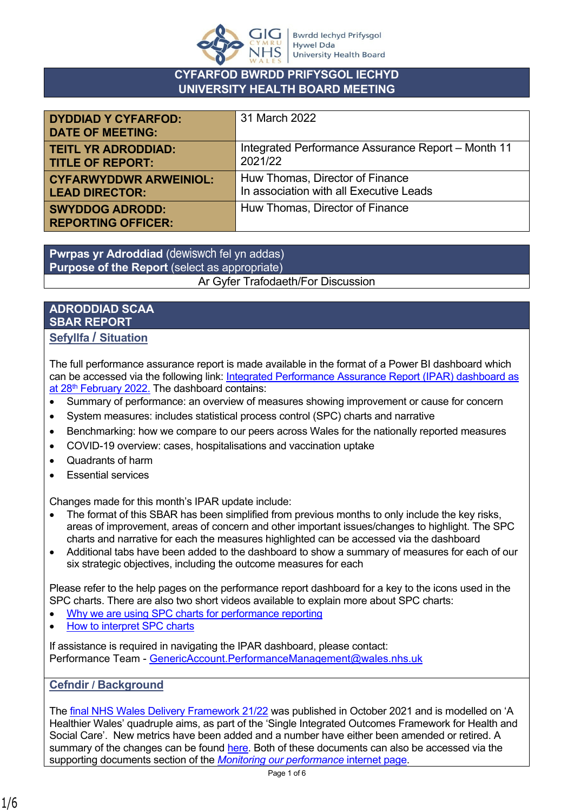

## **CYFARFOD BWRDD PRIFYSGOL IECHYD UNIVERSITY HEALTH BOARD MEETING**

| <b>DYDDIAD Y CYFARFOD:</b><br><b>DATE OF MEETING:</b> | 31 March 2022                                      |
|-------------------------------------------------------|----------------------------------------------------|
| <b>TEITL YR ADRODDIAD:</b>                            | Integrated Performance Assurance Report - Month 11 |
| <b>TITLE OF REPORT:</b>                               | 2021/22                                            |
| <b>CYFARWYDDWR ARWEINIOL:</b>                         | Huw Thomas, Director of Finance                    |
| <b>LEAD DIRECTOR:</b>                                 | In association with all Executive Leads            |
| <b>SWYDDOG ADRODD:</b><br><b>REPORTING OFFICER:</b>   | Huw Thomas, Director of Finance                    |

**Pwrpas yr Adroddiad** (dewiswch fel yn addas) **Purpose of the Report** (select as appropriate) Ar Gyfer Trafodaeth/For Discussion

# **ADRODDIAD SCAA SBAR REPORT**

**Sefyllfa / Situation** 

The full performance assurance report is made available in the format of a Power BI dashboard which can be accessed via the following link: [Integrated Performance Assurance Report \(IPAR\) dashboard as](https://www.powerbi.com/view?r=eyJrIjoiMDJkOTE1YjktNTA5Mi00ODVlLThmMDYtOWNiNmNiYjMwYjFiIiwidCI6ImJiNTYyOGI4LWUzMjgtNDA4Mi1hODU2LTQzM2M5ZWRjOGZhZSJ9)  at 28<sup>th</sup> [February 2022.](https://www.powerbi.com/view?r=eyJrIjoiMDJkOTE1YjktNTA5Mi00ODVlLThmMDYtOWNiNmNiYjMwYjFiIiwidCI6ImJiNTYyOGI4LWUzMjgtNDA4Mi1hODU2LTQzM2M5ZWRjOGZhZSJ9) The dashboard contains:

- Summary of performance: an overview of measures showing improvement or cause for concern
- System measures: includes statistical process control (SPC) charts and narrative
- Benchmarking: how we compare to our peers across Wales for the nationally reported measures
- COVID-19 overview: cases, hospitalisations and vaccination uptake
- Quadrants of harm
- Essential services

Changes made for this month's IPAR update include:

- The format of this SBAR has been simplified from previous months to only include the key risks, areas of improvement, areas of concern and other important issues/changes to highlight. The SPC charts and narrative for each the measures highlighted can be accessed via the dashboard
- Additional tabs have been added to the dashboard to show a summary of measures for each of our six strategic objectives, including the outcome measures for each

Please refer to the help pages on the performance report dashboard for a key to the icons used in the SPC charts. There are also two short videos available to explain more about SPC charts:

- [Why we are using SPC charts for performance reporting](https://nhswales365.sharepoint.com/:v:/s/HDD_Performance_Reporting/EVrWg04boMRGq6n8BhnhP1gByPMHrVXyIvQF8LkaQ43djQ?e=VNVZlM)
- [How to interpret SPC charts](https://nhswales365.sharepoint.com/:v:/s/HDD_Performance_Reporting/EQ8GDAtcW69JmNR8KkqpXDkBGVIPRxUw26vV5Up5a_RglA?e=dkX2vT)

If assistance is required in navigating the IPAR dashboard, please contact: Performance Team - [GenericAccount.PerformanceManagement@wales.nhs.uk](mailto:GenericAccount.PerformanceManagement@wales.nhs.uk)

### **Cefndir / Background**

The [final NHS Wales Delivery Framework 21/22](https://hduhb.nhs.wales/about-us/performance-targets/performance-documents/2021-22-nhs-wales-delivery-framework-amp-guidance-pdf/) was published in October 2021 and is modelled on 'A Healthier Wales' quadruple aims, as part of the 'Single Integrated Outcomes Framework for Health and Social Care'. New metrics have been added and a number have either been amended or retired. A summary of the changes can be found [here](https://hduhb.nhs.wales/about-us/performance-targets/performance-documents/2021-22-nhs-wales-delivery-framework-changes-pdf/). Both of these documents can also be accessed via the supporting documents section of the *[Monitoring our performance](https://hduhb.nhs.wales/about-us/performance-targets/our-performance-areas/monitoring-our-performance/)* internet page.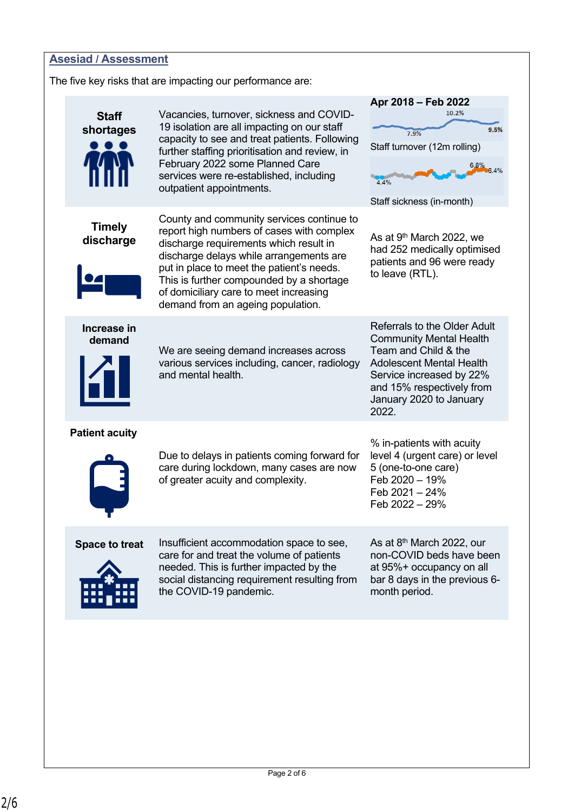

The five key risks that are impacting our performance are:

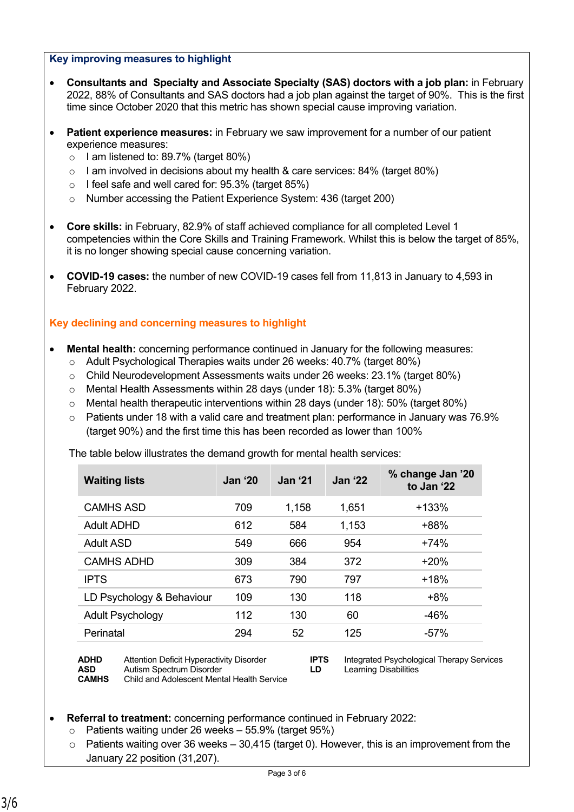#### **Key improving measures to highlight**

- **Consultants and Specialty and Associate Specialty (SAS) doctors with a job plan:** in February 2022, 88% of Consultants and SAS doctors had a job plan against the target of 90%. This is the first time since October 2020 that this metric has shown special cause improving variation.
- **Patient experience measures:** in February we saw improvement for a number of our patient experience measures:
	- $\circ$  I am listened to: 89.7% (target 80%)
	- $\circ$  I am involved in decisions about my health & care services: 84% (target 80%)
	- o I feel safe and well cared for: 95.3% (target 85%)
	- o Number accessing the Patient Experience System: 436 (target 200)
- **Core skills:** in February, 82.9% of staff achieved compliance for all completed Level 1 competencies within the Core Skills and Training Framework. Whilst this is below the target of 85%, it is no longer showing special cause concerning variation.
- **COVID-19 cases:** the number of new COVID-19 cases fell from 11,813 in January to 4,593 in February 2022.

#### **Key declining and concerning measures to highlight**

- **Mental health:** concerning performance continued in January for the following measures:
	- o Adult Psychological Therapies waits under 26 weeks: 40.7% (target 80%)
	- $\circ$  Child Neurodevelopment Assessments waits under 26 weeks: 23.1% (target 80%)
	- o Mental Health Assessments within 28 days (under 18): 5.3% (target 80%)
	- $\circ$  Mental health therapeutic interventions within 28 days (under 18): 50% (target 80%)
	- $\circ$  Patients under 18 with a valid care and treatment plan: performance in January was 76.9% (target 90%) and the first time this has been recorded as lower than 100%

The table below illustrates the demand growth for mental health services:

| <b>Waiting lists</b>      | <b>Jan '20</b> | <b>Jan '21</b> | <b>Jan '22</b> | % change Jan '20<br>to Jan '22 |
|---------------------------|----------------|----------------|----------------|--------------------------------|
| CAMHS ASD                 | 709            | 1,158          | 1,651          | $+133%$                        |
| Adult ADHD                | 612            | 584            | 1,153          | +88%                           |
| Adult ASD                 | 549            | 666            | 954            | $+74%$                         |
| <b>CAMHS ADHD</b>         | 309            | 384            | 372            | $+20%$                         |
| <b>IPTS</b>               | 673            | 790            | 797            | $+18%$                         |
| LD Psychology & Behaviour | 109            | 130            | 118            | $+8%$                          |
| <b>Adult Psychology</b>   | 112            | 130            | 60             | -46%                           |
| Perinatal                 | 294            | 52             | 125            | $-57%$                         |

**ADHD** Attention Deficit Hyperactivity Disorder **IPTS** Integrated Psychological Therapy Services<br> **AD** Learning Disabilities<br> **ID** Learning Disabilities **Autism Spectrum Disorder CAMHS** Child and Adolescent Mental Health Service

**Referral to treatment:** concerning performance continued in February 2022:

- o Patients waiting under 26 weeks 55.9% (target 95%)
- $\circ$  Patients waiting over 36 weeks 30,415 (target 0). However, this is an improvement from the January 22 position (31,207).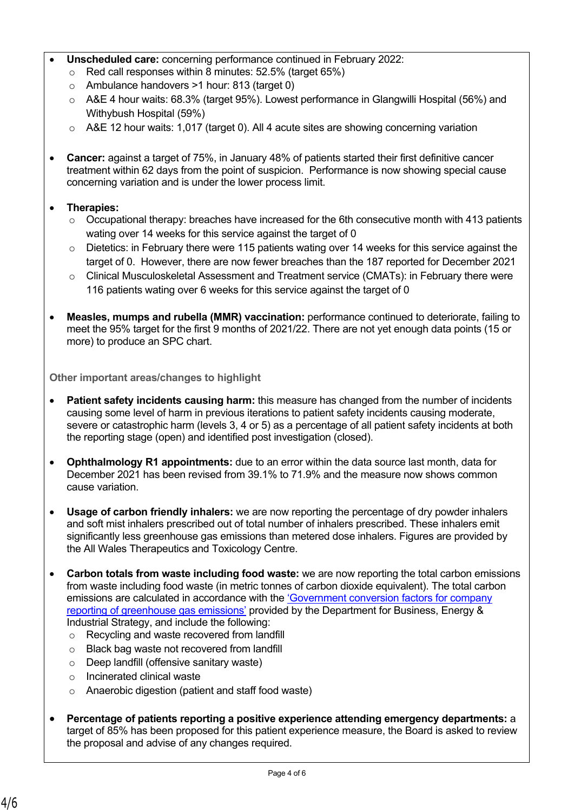- **Unscheduled care:** concerning performance continued in February 2022:
	- o Red call responses within 8 minutes: 52.5% (target 65%)
	- o Ambulance handovers >1 hour: 813 (target 0)
	- o A&E 4 hour waits: 68.3% (target 95%). Lowest performance in Glangwilli Hospital (56%) and Withybush Hospital (59%)
	- o A&E 12 hour waits: 1,017 (target 0). All 4 acute sites are showing concerning variation
- **Cancer:** against a target of 75%, in January 48% of patients started their first definitive cancer treatment within 62 days from the point of suspicion. Performance is now showing special cause concerning variation and is under the lower process limit.
- **Therapies:**
	- $\circ$  Occupational therapy: breaches have increased for the 6th consecutive month with 413 patients wating over 14 weeks for this service against the target of 0
	- o Dietetics: in February there were 115 patients wating over 14 weeks for this service against the target of 0. However, there are now fewer breaches than the 187 reported for December 2021
	- $\circ$  Clinical Musculoskeletal Assessment and Treatment service (CMATs): in February there were 116 patients wating over 6 weeks for this service against the target of 0
- **Measles, mumps and rubella (MMR) vaccination:** performance continued to deteriorate, failing to meet the 95% target for the first 9 months of 2021/22. There are not yet enough data points (15 or more) to produce an SPC chart.

**Other important areas/changes to highlight**

- **Patient safety incidents causing harm:** this measure has changed from the number of incidents causing some level of harm in previous iterations to patient safety incidents causing moderate, severe or catastrophic harm (levels 3, 4 or 5) as a percentage of all patient safety incidents at both the reporting stage (open) and identified post investigation (closed).
- **Ophthalmology R1 appointments:** due to an error within the data source last month, data for December 2021 has been revised from 39.1% to 71.9% and the measure now shows common cause variation.
- **Usage of carbon friendly inhalers:** we are now reporting the percentage of dry powder inhalers and soft mist inhalers prescribed out of total number of inhalers prescribed. These inhalers emit significantly less greenhouse gas emissions than metered dose inhalers. Figures are provided by the All Wales Therapeutics and Toxicology Centre.
- **Carbon totals from waste including food waste:** we are now reporting the total carbon emissions from waste including food waste (in metric tonnes of carbon dioxide equivalent). The total carbon emissions are calculated in accordance with the ['Government conversion factors for company](https://www.gov.uk/government/collections/government-conversion-factors-for-company-reporting)  [reporting of greenhouse gas emissions'](https://www.gov.uk/government/collections/government-conversion-factors-for-company-reporting) provided by the Department for Business, Energy & Industrial Strategy, and include the following:
	- o Recycling and waste recovered from landfill
	- o Black bag waste not recovered from landfill
	- o Deep landfill (offensive sanitary waste)
	- o Incinerated clinical waste
	- o Anaerobic digestion (patient and staff food waste)
- **Percentage of patients reporting a positive experience attending emergency departments:** a target of 85% has been proposed for this patient experience measure, the Board is asked to review the proposal and advise of any changes required.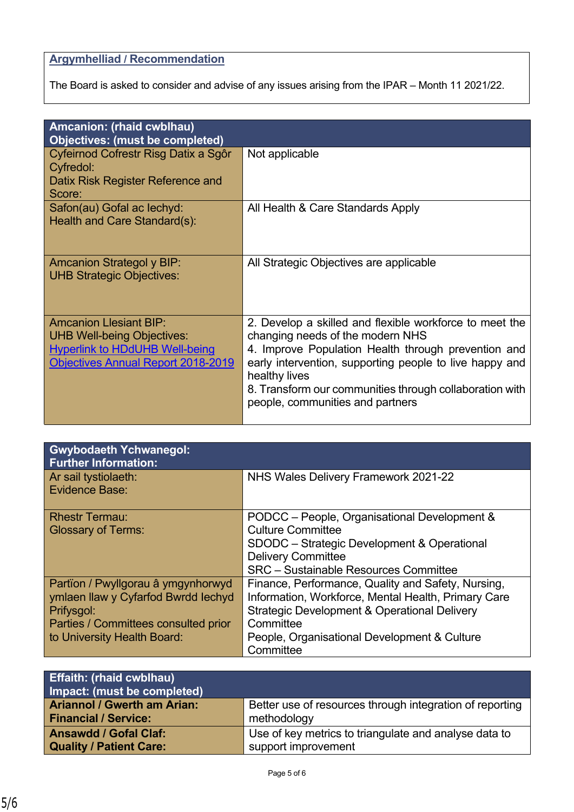# **Argymhelliad / Recommendation**

The Board is asked to consider and advise of any issues arising from the IPAR – Month 11 2021/22.

| Amcanion: (rhaid cwblhau)<br><b>Objectives: (must be completed)</b>                                                                                      |                                                                                                                                                                                                                                                                                                                               |
|----------------------------------------------------------------------------------------------------------------------------------------------------------|-------------------------------------------------------------------------------------------------------------------------------------------------------------------------------------------------------------------------------------------------------------------------------------------------------------------------------|
| Cyfeirnod Cofrestr Risg Datix a Sgôr<br>Cyfredol:<br>Datix Risk Register Reference and<br>Score:                                                         | Not applicable                                                                                                                                                                                                                                                                                                                |
| Safon(au) Gofal ac lechyd:<br>Health and Care Standard(s):                                                                                               | All Health & Care Standards Apply                                                                                                                                                                                                                                                                                             |
| Amcanion Strategol y BIP:<br><b>UHB Strategic Objectives:</b>                                                                                            | All Strategic Objectives are applicable                                                                                                                                                                                                                                                                                       |
| <b>Amcanion Llesiant BIP:</b><br><b>UHB Well-being Objectives:</b><br><b>Hyperlink to HDdUHB Well-being</b><br><b>Objectives Annual Report 2018-2019</b> | 2. Develop a skilled and flexible workforce to meet the<br>changing needs of the modern NHS<br>4. Improve Population Health through prevention and<br>early intervention, supporting people to live happy and<br>healthy lives<br>8. Transform our communities through collaboration with<br>people, communities and partners |

| <b>Gwybodaeth Ychwanegol:</b>        |                                                     |
|--------------------------------------|-----------------------------------------------------|
| <b>Further Information:</b>          |                                                     |
| Ar sail tystiolaeth:                 | NHS Wales Delivery Framework 2021-22                |
| <b>Evidence Base:</b>                |                                                     |
|                                      |                                                     |
| <b>Rhestr Termau:</b>                | PODCC - People, Organisational Development &        |
| <b>Glossary of Terms:</b>            | <b>Culture Committee</b>                            |
|                                      | SDODC - Strategic Development & Operational         |
|                                      | <b>Delivery Committee</b>                           |
|                                      | <b>SRC</b> – Sustainable Resources Committee        |
| Partïon / Pwyllgorau â ymgynhorwyd   | Finance, Performance, Quality and Safety, Nursing,  |
| ymlaen llaw y Cyfarfod Bwrdd Iechyd  | Information, Workforce, Mental Health, Primary Care |
| Prifysgol:                           | Strategic Development & Operational Delivery        |
| Parties / Committees consulted prior | Committee                                           |
| to University Health Board:          | People, Organisational Development & Culture        |
|                                      | Committee                                           |

| <b>Effaith: (rhaid cwblhau)</b>    |                                                          |
|------------------------------------|----------------------------------------------------------|
| Impact: (must be completed)        |                                                          |
| <b>Ariannol / Gwerth am Arian:</b> | Better use of resources through integration of reporting |
| <b>Financial / Service:</b>        | methodology                                              |
| <b>Ansawdd / Gofal Claf:</b>       | Use of key metrics to triangulate and analyse data to    |
| <b>Quality / Patient Care:</b>     | support improvement                                      |